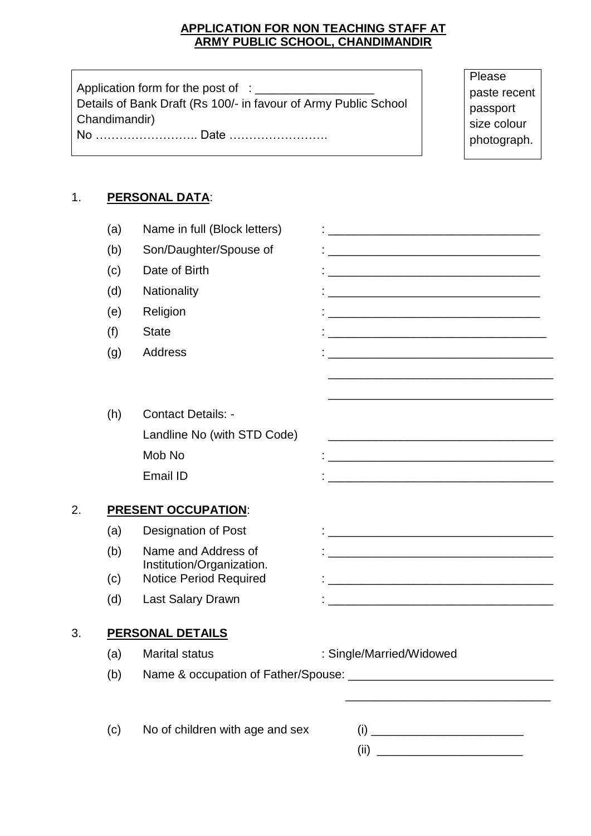### **APPLICATION FOR NON TEACHING STAFF AT ARMY PUBLIC SCHOOL, CHANDIMANDIR**

Application form for the post of : \_\_\_\_\_\_\_\_\_\_\_\_\_\_\_\_\_\_ Details of Bank Draft (Rs 100/- in favour of Army Public School Chandimandir) No …………………….. Date …………………….

**Please** paste recent passport size colour photograph.

# 1. **PERSONAL DATA**:

|    | (a)                     | Name in full (Block letters)                               |                                                                                                                       |  |  |  |
|----|-------------------------|------------------------------------------------------------|-----------------------------------------------------------------------------------------------------------------------|--|--|--|
|    | (b)                     | Son/Daughter/Spouse of                                     |                                                                                                                       |  |  |  |
|    | (c)                     | Date of Birth                                              | <u> 1989 - Johann Barn, mars ann an t-Amhain an t-Amhain an t-Amhain an t-Amhain an t-Amhain an t-Amhain an t-Amh</u> |  |  |  |
|    | (d)                     | Nationality                                                | <u> 1980 - Johann John Stone, markin fizik eta idazlearia (h. 1980).</u>                                              |  |  |  |
|    | (e)                     | Religion                                                   |                                                                                                                       |  |  |  |
|    | (f)                     | <b>State</b>                                               | <u> 1989 - Johann Harry Harry Harry Harry Harry Harry Harry Harry Harry Harry Harry Harry Harry Harry Harry Harry</u> |  |  |  |
|    | (g)                     | <b>Address</b>                                             | <u> 1989 - Johann Barbara, margaret eta idazlearia (h. 1989).</u>                                                     |  |  |  |
|    |                         |                                                            |                                                                                                                       |  |  |  |
|    |                         |                                                            |                                                                                                                       |  |  |  |
|    | (h)                     | <b>Contact Details: -</b>                                  |                                                                                                                       |  |  |  |
|    |                         | Landline No (with STD Code)                                | <u> 1980 - Johann John Stone, mars and de finland and de finland and design and design and design and design and </u> |  |  |  |
|    |                         | Mob No                                                     |                                                                                                                       |  |  |  |
|    |                         | Email ID                                                   | <u> 1989 - Johann Harry Harry Harry Harry Harry Harry Harry Harry Harry Harry Harry Harry Harry Harry Harry Harry</u> |  |  |  |
|    |                         |                                                            |                                                                                                                       |  |  |  |
| 2. |                         | <b>PRESENT OCCUPATION:</b>                                 |                                                                                                                       |  |  |  |
|    | (a)                     | Designation of Post                                        |                                                                                                                       |  |  |  |
|    | (b)                     | Name and Address of                                        |                                                                                                                       |  |  |  |
|    | (c)                     | Institution/Organization.<br><b>Notice Period Required</b> |                                                                                                                       |  |  |  |
|    | (d)                     | <b>Last Salary Drawn</b>                                   | <u> 1989 - Johann John Stone, markin film yn y brenin y brenin y brenin y brenin y brenin y brenin y brenin y br</u>  |  |  |  |
|    |                         |                                                            |                                                                                                                       |  |  |  |
| 3. | <b>PERSONAL DETAILS</b> |                                                            |                                                                                                                       |  |  |  |
|    | (a)                     | <b>Marital status</b>                                      | : Single/Married/Widowed                                                                                              |  |  |  |
|    | (b)                     |                                                            |                                                                                                                       |  |  |  |
|    |                         |                                                            |                                                                                                                       |  |  |  |
|    | (c)                     | No of children with age and sex                            |                                                                                                                       |  |  |  |
|    |                         |                                                            |                                                                                                                       |  |  |  |
|    |                         |                                                            |                                                                                                                       |  |  |  |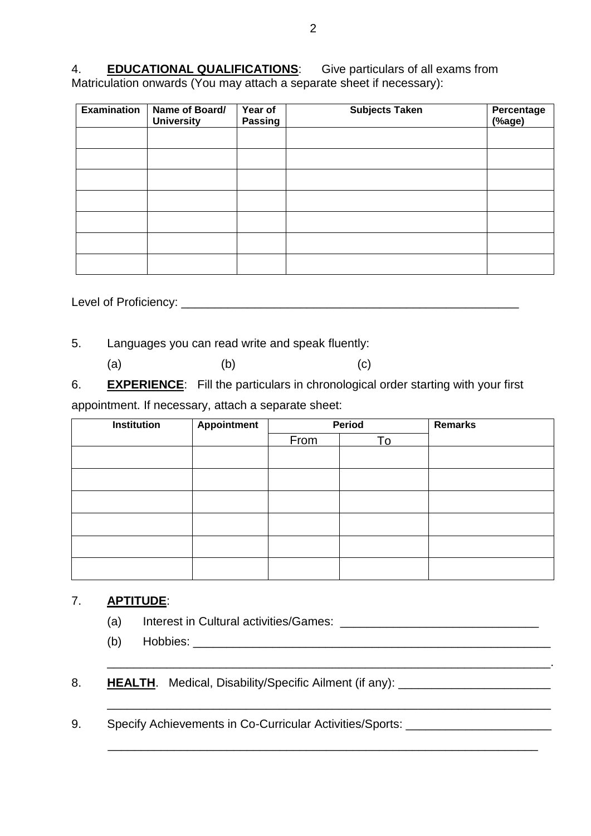4. **EDUCATIONAL QUALIFICATIONS**: Give particulars of all exams from Matriculation onwards (You may attach a separate sheet if necessary):

| <b>Examination</b> | Name of Board/<br><b>University</b> | Year of<br><b>Passing</b> | <b>Subjects Taken</b> | Percentage<br>(%age) |
|--------------------|-------------------------------------|---------------------------|-----------------------|----------------------|
|                    |                                     |                           |                       |                      |
|                    |                                     |                           |                       |                      |
|                    |                                     |                           |                       |                      |
|                    |                                     |                           |                       |                      |
|                    |                                     |                           |                       |                      |
|                    |                                     |                           |                       |                      |
|                    |                                     |                           |                       |                      |

Level of Proficiency: \_\_\_\_\_\_\_\_\_\_\_\_\_\_\_\_\_\_\_\_\_\_\_\_\_\_\_\_\_\_\_\_\_\_\_\_\_\_\_\_\_\_\_\_\_\_\_\_\_\_\_

5. Languages you can read write and speak fluently:

(a)  $(b)$  (c)

6. **EXPERIENCE**: Fill the particulars in chronological order starting with your first

appointment. If necessary, attach a separate sheet:

| <b>Institution</b> | <b>Appointment</b> | Period |    | <b>Remarks</b> |
|--------------------|--------------------|--------|----|----------------|
|                    |                    | From   | To |                |
|                    |                    |        |    |                |
|                    |                    |        |    |                |
|                    |                    |        |    |                |
|                    |                    |        |    |                |
|                    |                    |        |    |                |
|                    |                    |        |    |                |

## 7. **APTITUDE**:

- (a) Interest in Cultural activities/Games: \_\_\_\_\_\_\_\_\_\_\_\_\_\_\_\_\_\_\_\_\_\_\_\_\_\_\_\_\_\_
- (b) Hobbies: \_\_\_\_\_\_\_\_\_\_\_\_\_\_\_\_\_\_\_\_\_\_\_\_\_\_\_\_\_\_\_\_\_\_\_\_\_\_\_\_\_\_\_\_\_\_\_\_\_\_\_\_\_\_

\_\_\_\_\_\_\_\_\_\_\_\_\_\_\_\_\_\_\_\_\_\_\_\_\_\_\_\_\_\_\_\_\_\_\_\_\_\_\_\_\_\_\_\_\_\_\_\_\_\_\_\_\_\_\_\_\_\_\_\_\_\_\_\_\_\_\_.

\_\_\_\_\_\_\_\_\_\_\_\_\_\_\_\_\_\_\_\_\_\_\_\_\_\_\_\_\_\_\_\_\_\_\_\_\_\_\_\_\_\_\_\_\_\_\_\_\_\_\_\_\_\_\_\_\_\_\_\_\_\_\_\_\_

- 8. **HEALTH**. Medical, Disability/Specific Ailment (if any): **Notified Alliance Act Act Act 2014**
- 9. Specify Achievements in Co-Curricular Activities/Sports: